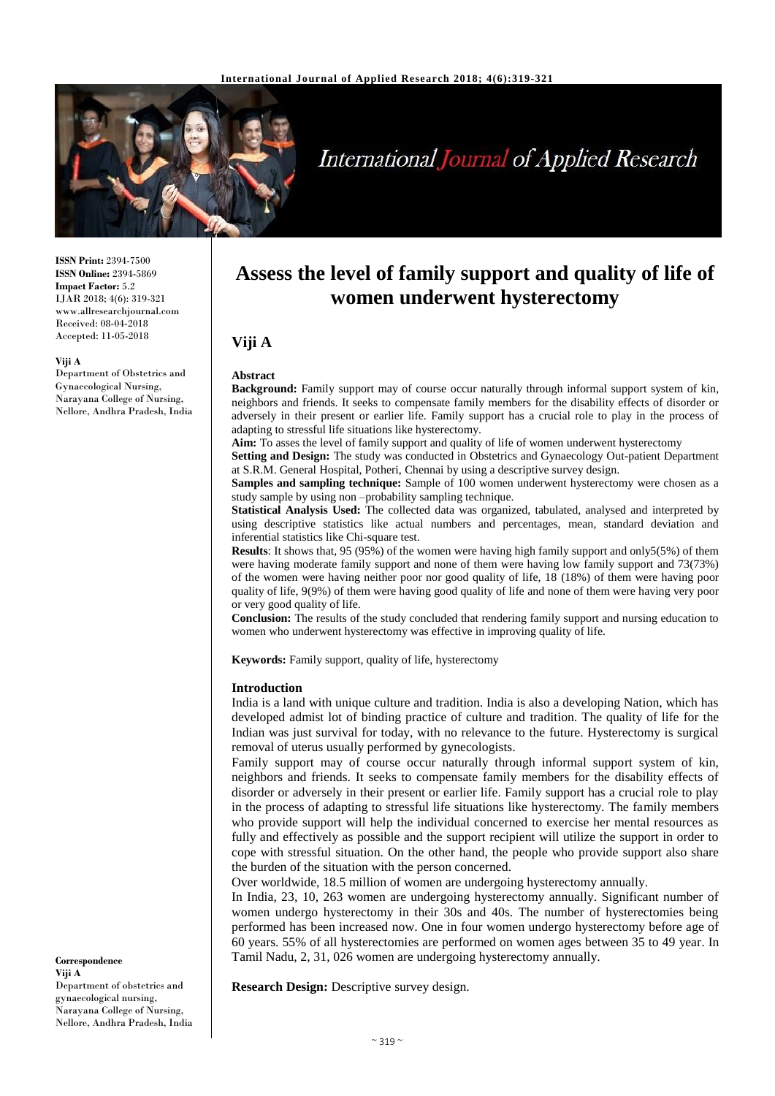

# **International Journal of Applied Research**

**ISSN Print:** 2394-7500 **ISSN Online:** 2394-5869 **Impact Factor:** 5.2 IJAR 2018; 4(6): 319-321 www.allresearchjournal.com Received: 08-04-2018 Accepted: 11-05-2018

#### **Viji A**

Department of Obstetrics and Gynaecological Nursing, Narayana College of Nursing, Nellore, Andhra Pradesh, India

# **Abstract**

**Viji A**

**Background:** Family support may of course occur naturally through informal support system of kin, neighbors and friends. It seeks to compensate family members for the disability effects of disorder or adversely in their present or earlier life. Family support has a crucial role to play in the process of adapting to stressful life situations like hysterectomy.

**Assess the level of family support and quality of life of women underwent hysterectomy**

**Aim:** To asses the level of family support and quality of life of women underwent hysterectomy

**Setting and Design:** The study was conducted in Obstetrics and Gynaecology Out-patient Department at S.R.M. General Hospital, Potheri, Chennai by using a descriptive survey design.

**Samples and sampling technique:** Sample of 100 women underwent hysterectomy were chosen as a study sample by using non –probability sampling technique.

**Statistical Analysis Used:** The collected data was organized, tabulated, analysed and interpreted by using descriptive statistics like actual numbers and percentages, mean, standard deviation and inferential statistics like Chi-square test.

**Results**: It shows that, 95 (95%) of the women were having high family support and only5(5%) of them were having moderate family support and none of them were having low family support and 73(73%) of the women were having neither poor nor good quality of life, 18 (18%) of them were having poor quality of life, 9(9%) of them were having good quality of life and none of them were having very poor or very good quality of life.

**Conclusion:** The results of the study concluded that rendering family support and nursing education to women who underwent hysterectomy was effective in improving quality of life.

**Keywords:** Family support, quality of life, hysterectomy

#### **Introduction**

India is a land with unique culture and tradition. India is also a developing Nation, which has developed admist lot of binding practice of culture and tradition. The quality of life for the Indian was just survival for today, with no relevance to the future. Hysterectomy is surgical removal of uterus usually performed by gynecologists.

Family support may of course occur naturally through informal support system of kin, neighbors and friends. It seeks to compensate family members for the disability effects of disorder or adversely in their present or earlier life. Family support has a crucial role to play in the process of adapting to stressful life situations like hysterectomy. The family members who provide support will help the individual concerned to exercise her mental resources as fully and effectively as possible and the support recipient will utilize the support in order to cope with stressful situation. On the other hand, the people who provide support also share the burden of the situation with the person concerned.

Over worldwide, 18.5 million of women are undergoing hysterectomy annually.

In India, 23, 10, 263 women are undergoing hysterectomy annually. Significant number of women undergo hysterectomy in their 30s and 40s. The number of hysterectomies being performed has been increased now. One in four women undergo hysterectomy before age of 60 years. 55% of all hysterectomies are performed on women ages between 35 to 49 year. In Tamil Nadu, 2, 31, 026 women are undergoing hysterectomy annually.

**Research Design:** Descriptive survey design.

**Correspondence Viji A** Department of obstetrics and gynaecological nursing, Narayana College of Nursing, Nellore, Andhra Pradesh, India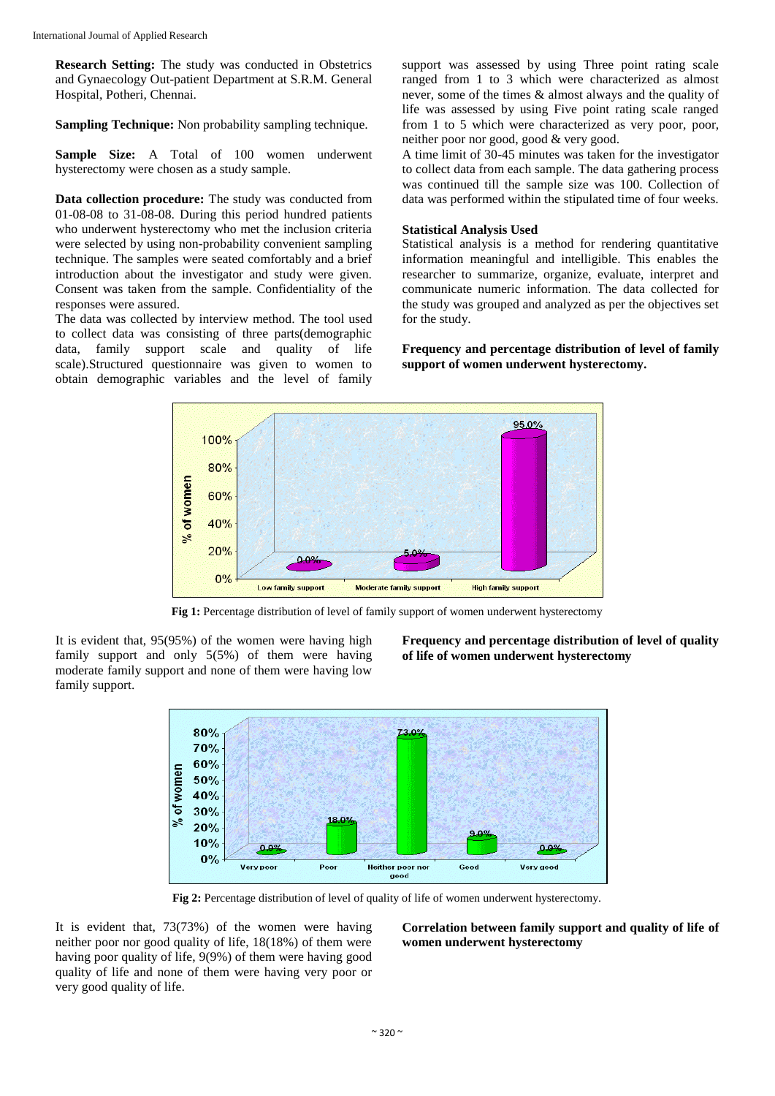**Research Setting:** The study was conducted in Obstetrics and Gynaecology Out-patient Department at S.R.M. General Hospital, Potheri, Chennai.

**Sampling Technique:** Non probability sampling technique.

**Sample Size:** A Total of 100 women underwent hysterectomy were chosen as a study sample.

**Data collection procedure:** The study was conducted from 01-08-08 to 31-08-08. During this period hundred patients who underwent hysterectomy who met the inclusion criteria were selected by using non-probability convenient sampling technique. The samples were seated comfortably and a brief introduction about the investigator and study were given. Consent was taken from the sample. Confidentiality of the responses were assured.

The data was collected by interview method. The tool used to collect data was consisting of three parts(demographic data, family support scale and quality of life scale).Structured questionnaire was given to women to obtain demographic variables and the level of family

support was assessed by using Three point rating scale ranged from 1 to 3 which were characterized as almost never, some of the times & almost always and the quality of life was assessed by using Five point rating scale ranged from 1 to 5 which were characterized as very poor, poor, neither poor nor good, good & very good.

A time limit of 30-45 minutes was taken for the investigator to collect data from each sample. The data gathering process was continued till the sample size was 100. Collection of data was performed within the stipulated time of four weeks.

# **Statistical Analysis Used**

Statistical analysis is a method for rendering quantitative information meaningful and intelligible. This enables the researcher to summarize, organize, evaluate, interpret and communicate numeric information. The data collected for the study was grouped and analyzed as per the objectives set for the study.

**Frequency and percentage distribution of level of family support of women underwent hysterectomy.**



**Fig 1:** Percentage distribution of level of family support of women underwent hysterectomy

It is evident that, 95(95%) of the women were having high family support and only 5(5%) of them were having moderate family support and none of them were having low family support.

**Frequency and percentage distribution of level of quality of life of women underwent hysterectomy**



**Fig 2:** Percentage distribution of level of quality of life of women underwent hysterectomy.

It is evident that, 73(73%) of the women were having neither poor nor good quality of life, 18(18%) of them were having poor quality of life, 9(9%) of them were having good quality of life and none of them were having very poor or very good quality of life.

**Correlation between family support and quality of life of women underwent hysterectomy**